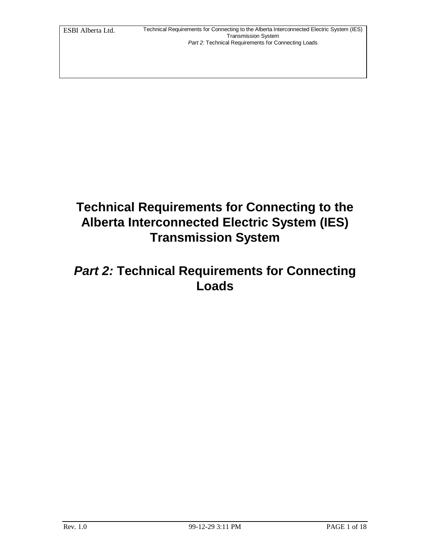# **Technical Requirements for Connecting to the Alberta Interconnected Electric System (IES) Transmission System**

## *Part 2:* **Technical Requirements for Connecting Loads**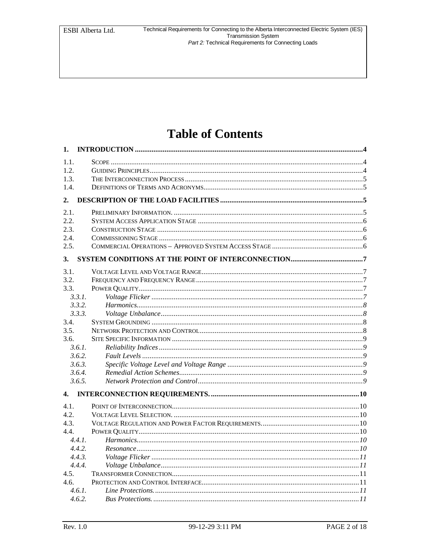## **Table of Contents**

| 1.     |                        |  |
|--------|------------------------|--|
| 1.1.   |                        |  |
| 1.2.   |                        |  |
| 1.3.   |                        |  |
| 1.4.   |                        |  |
| 2.     |                        |  |
| 2.1.   |                        |  |
| 2.2.   |                        |  |
| 2.3.   |                        |  |
| 2.4.   |                        |  |
| 2.5.   |                        |  |
| 3.     |                        |  |
| 3.1.   |                        |  |
| 3.2.   |                        |  |
| 3.3.   |                        |  |
| 3.3.1. |                        |  |
| 3.3.2. |                        |  |
| 3.3.3. |                        |  |
| 3.4.   |                        |  |
| 3.5.   |                        |  |
| 3.6.   |                        |  |
| 3.6.1. |                        |  |
| 3.6.2. |                        |  |
| 3.6.3. |                        |  |
| 3.6.4. |                        |  |
| 3.6.5. |                        |  |
| 4.     |                        |  |
| 4.1.   |                        |  |
| 4.2.   |                        |  |
| 4.3.   |                        |  |
| 4.4.   |                        |  |
| 4.4.1. |                        |  |
| 4.4.2. |                        |  |
| 4.4.3. |                        |  |
| 4.4.4. |                        |  |
| 4.5.   |                        |  |
| 4.6.   |                        |  |
| 4.6.1. |                        |  |
|        | 462 Rus Protections 11 |  |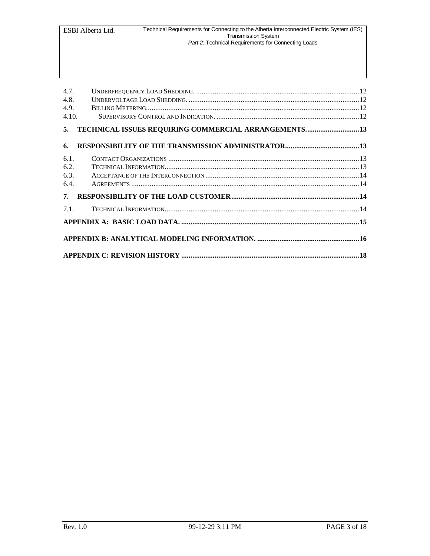| 4.7.<br>4.8.<br>4.9.<br>4.10. |                                                      |  |  |  |  |  |
|-------------------------------|------------------------------------------------------|--|--|--|--|--|
| 5.                            | TECHNICAL ISSUES REQUIRING COMMERCIAL ARRANGEMENTS13 |  |  |  |  |  |
| 6.                            |                                                      |  |  |  |  |  |
| 6.1.<br>6.2.<br>6.3.<br>6.4.  |                                                      |  |  |  |  |  |
| 7.                            |                                                      |  |  |  |  |  |
| 7.1                           |                                                      |  |  |  |  |  |
|                               |                                                      |  |  |  |  |  |
|                               |                                                      |  |  |  |  |  |
|                               |                                                      |  |  |  |  |  |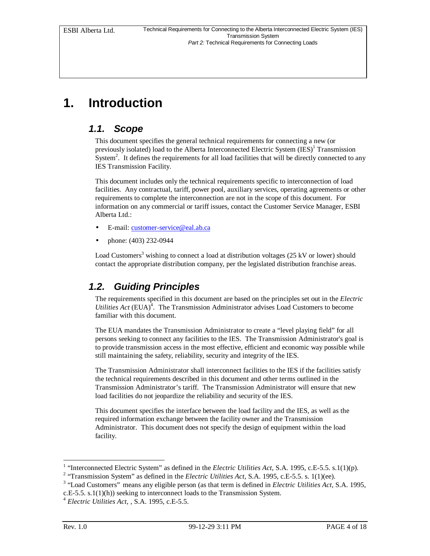# **1. Introduction**

#### *1.1. Scope*

This document specifies the general technical requirements for connecting a new (or previously isolated) load to the Alberta Interconnected Electric System  $(IES)^{1}$  Transmission System<sup>2</sup>. It defines the requirements for all load facilities that will be directly connected to any IES Transmission Facility.

This document includes only the technical requirements specific to interconnection of load facilities. Any contractual, tariff, power pool, auxiliary services, operating agreements or other requirements to complete the interconnection are not in the scope of this document. For information on any commercial or tariff issues, contact the Customer Service Manager, ESBI Alberta Ltd.:

- E-mail: customer-service@eal.ab.ca
- phone: (403) 232-0944

Load Customers<sup>3</sup> wishing to connect a load at distribution voltages (25 kV or lower) should contact the appropriate distribution company, per the legislated distribution franchise areas.

## *1.2. Guiding Principles*

The requirements specified in this document are based on the principles set out in the *Electric Utilities Act* (EUA) $^4$ . The Transmission Administrator advises Load Customers to become familiar with this document.

The EUA mandates the Transmission Administrator to create a "level playing field" for all persons seeking to connect any facilities to the IES. The Transmission Administrator's goal is to provide transmission access in the most effective, efficient and economic way possible while still maintaining the safety, reliability, security and integrity of the IES.

The Transmission Administrator shall interconnect facilities to the IES if the facilities satisfy the technical requirements described in this document and other terms outlined in the Transmission Administrator's tariff. The Transmission Administrator will ensure that new load facilities do not jeopardize the reliability and security of the IES.

This document specifies the interface between the load facility and the IES, as well as the required information exchange between the facility owner and the Transmission Administrator. This document does not specify the design of equipment within the load facility.

-

<sup>&</sup>lt;sup>1</sup> "Interconnected Electric System" as defined in the *Electric Utilities Act*, S.A. 1995, c.E-5.5. s.1(1)(p).

<sup>&</sup>lt;sup>2</sup> "Transmission System" as defined in the *Electric Utilities Act*, S.A. 1995, c.E-5.5. s. 1(1)(ee).

<sup>&</sup>lt;sup>3</sup> "Load Customers" means any eligible person (as that term is defined in *Electric Utilities Act*, S.A. 1995, c.E-5.5. s.1(1)(h)) seeking to interconnect loads to the Transmission System.

<sup>4</sup> *Electric Utilities Act*, , S.A. 1995, c.E-5.5.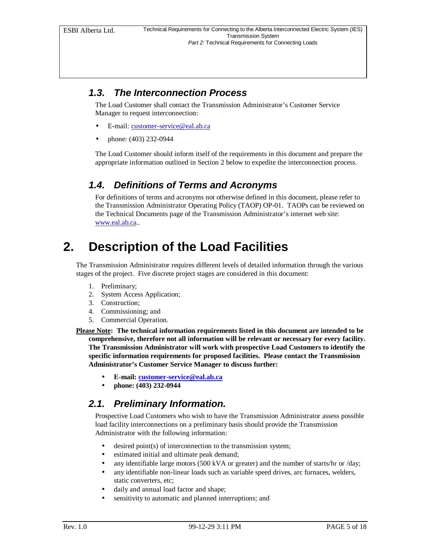### *1.3. The Interconnection Process*

The Load Customer shall contact the Transmission Administrator's Customer Service Manager to request interconnection:

- E-mail: customer-service@eal.ab.ca
- phone: (403) 232-0944

The Load Customer should inform itself of the requirements in this document and prepare the appropriate information outlined in Section 2 below to expedite the interconnection process.

### *1.4. Definitions of Terms and Acronyms*

For definitions of terms and acronyms not otherwise defined in this document, please refer to the Transmission Administrator Operating Policy (TAOP) OP-01. TAOPs can be reviewed on the Technical Documents page of the Transmission Administrator's internet web site: www.eal.ab.ca..

## **2. Description of the Load Facilities**

The Transmission Administrator requires different levels of detailed information through the various stages of the project. Five discrete project stages are considered in this document:

- 1. Preliminary;
- 2. System Access Application;
- 3. Construction;
- 4. Commissioning; and
- 5. Commercial Operation.
- **Please Note: The technical information requirements listed in this document are intended to be comprehensive, therefore not all information will be relevant or necessary for every facility. The Transmission Administrator will work with prospective Load Customers to identify the specific information requirements for proposed facilities. Please contact the Transmission Administrator's Customer Service Manager to discuss further:**
	- **E-mail: customer-service@eal.ab.ca**
	- **phone: (403) 232-0944**

#### *2.1. Preliminary Information.*

Prospective Load Customers who wish to have the Transmission Administrator assess possible load facility interconnections on a preliminary basis should provide the Transmission Administrator with the following information:

- desired point(s) of interconnection to the transmission system;
- estimated initial and ultimate peak demand;
- any identifiable large motors (500 kVA or greater) and the number of starts/hr or /day;
- any identifiable non-linear loads such as variable speed drives, arc furnaces, welders, static converters, etc;
- daily and annual load factor and shape;
- sensitivity to automatic and planned interruptions; and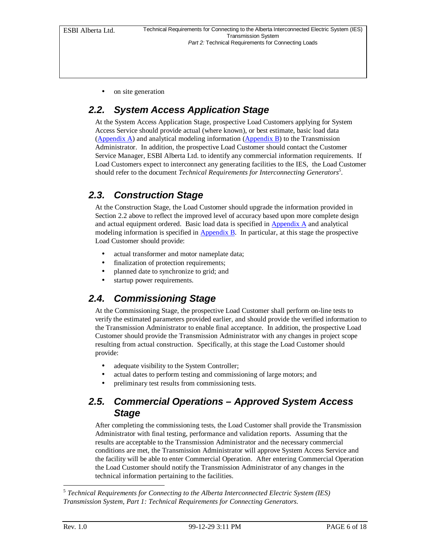on site generation

### *2.2. System Access Application Stage*

At the System Access Application Stage, prospective Load Customers applying for System Access Service should provide actual (where known), or best estimate, basic load data (Appendix A) and analytical modeling information (Appendix B) to the Transmission Administrator. In addition, the prospective Load Customer should contact the Customer Service Manager, ESBI Alberta Ltd. to identify any commercial information requirements. If Load Customers expect to interconnect any generating facilities to the IES, the Load Customer should refer to the document *Technical Requirements for Interconnecting Generators<sup>5</sup> .*

#### *2.3. Construction Stage*

At the Construction Stage, the Load Customer should upgrade the information provided in Section 2.2 above to reflect the improved level of accuracy based upon more complete design and actual equipment ordered. Basic load data is specified in Appendix A and analytical modeling information is specified in  $\Delta$ ppendix B. In particular, at this stage the prospective Load Customer should provide:

- actual transformer and motor nameplate data;
- finalization of protection requirements;
- planned date to synchronize to grid; and
- startup power requirements.

#### *2.4. Commissioning Stage*

At the Commissioning Stage, the prospective Load Customer shall perform on-line tests to verify the estimated parameters provided earlier, and should provide the verified information to the Transmission Administrator to enable final acceptance. In addition, the prospective Load Customer should provide the Transmission Administrator with any changes in project scope resulting from actual construction. Specifically, at this stage the Load Customer should provide:

- adequate visibility to the System Controller;
- actual dates to perform testing and commissioning of large motors; and
- preliminary test results from commissioning tests.

#### *2.5. Commercial Operations – Approved System Access Stage*

After completing the commissioning tests, the Load Customer shall provide the Transmission Administrator with final testing, performance and validation reports. Assuming that the results are acceptable to the Transmission Administrator and the necessary commercial conditions are met, the Transmission Administrator will approve System Access Service and the facility will be able to enter Commercial Operation. After entering Commercial Operation the Load Customer should notify the Transmission Administrator of any changes in the technical information pertaining to the facilities.

 5 *Technical Requirements for Connecting to the Alberta Interconnected Electric System (IES) Transmission System, Part 1: Technical Requirements for Connecting Generators.*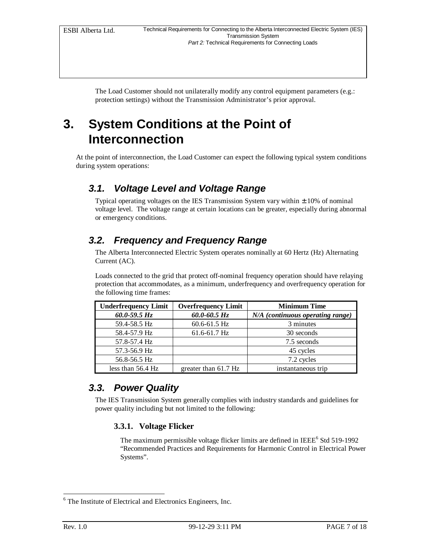The Load Customer should not unilaterally modify any control equipment parameters (e.g.: protection settings) without the Transmission Administrator's prior approval.

## **3. System Conditions at the Point of Interconnection**

At the point of interconnection, the Load Customer can expect the following typical system conditions during system operations:

### *3.1. Voltage Level and Voltage Range*

Typical operating voltages on the IES Transmission System vary within  $\pm$  10% of nominal voltage level. The voltage range at certain locations can be greater, especially during abnormal or emergency conditions.

## *3.2. Frequency and Frequency Range*

The Alberta Interconnected Electric System operates nominally at 60 Hertz (Hz) Alternating Current (AC).

Loads connected to the grid that protect off-nominal frequency operation should have relaying protection that accommodates, as a minimum, underfrequency and overfrequency operation for the following time frames:

| <b>Underfrequency Limit</b> | <b>Overfrequency Limit</b> | <b>Minimum Time</b>              |
|-----------------------------|----------------------------|----------------------------------|
| $60.0 - 59.5 Hz$            | $60.0 - 60.5$ Hz           | N/A (continuous operating range) |
| 59.4-58.5 Hz                | $60.6 - 61.5$ Hz           | 3 minutes                        |
| 58.4-57.9 Hz                | 61.6-61.7 Hz               | 30 seconds                       |
| 57.8-57.4 Hz                |                            | 7.5 seconds                      |
| 57.3-56.9 Hz                |                            | 45 cycles                        |
| 56.8-56.5 Hz                |                            | 7.2 cycles                       |
| less than 56.4 Hz           | greater than 61.7 Hz       | instantaneous trip               |

#### *3.3. Power Quality*

The IES Transmission System generally complies with industry standards and guidelines for power quality including but not limited to the following:

#### **3.3.1. Voltage Flicker**

The maximum permissible voltage flicker limits are defined in IEEE<sup>6</sup> Std 519-1992 "Recommended Practices and Requirements for Harmonic Control in Electrical Power Systems".

-

<sup>6</sup> The Institute of Electrical and Electronics Engineers, Inc.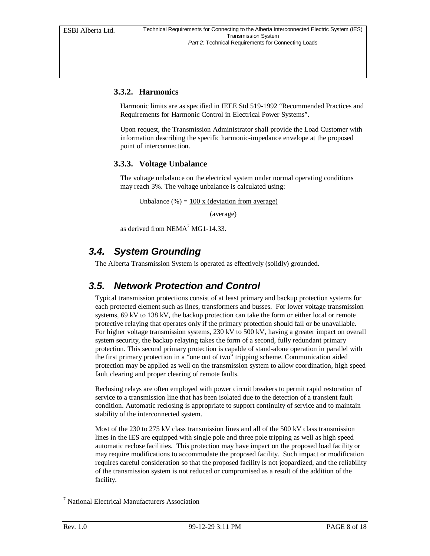#### **3.3.2. Harmonics**

Harmonic limits are as specified in IEEE Std 519-1992 "Recommended Practices and Requirements for Harmonic Control in Electrical Power Systems".

Upon request, the Transmission Administrator shall provide the Load Customer with information describing the specific harmonic-impedance envelope at the proposed point of interconnection.

#### **3.3.3. Voltage Unbalance**

The voltage unbalance on the electrical system under normal operating conditions may reach 3%. The voltage unbalance is calculated using:

Unbalance  $(\%) = 100 \times$  (deviation from average)

(average)

as derived from  $NEMA^7 MG1-14.33$ .

#### *3.4. System Grounding*

The Alberta Transmission System is operated as effectively (solidly) grounded.

#### *3.5. Network Protection and Control*

Typical transmission protections consist of at least primary and backup protection systems for each protected element such as lines, transformers and busses. For lower voltage transmission systems, 69 kV to 138 kV, the backup protection can take the form or either local or remote protective relaying that operates only if the primary protection should fail or be unavailable. For higher voltage transmission systems, 230 kV to 500 kV, having a greater impact on overall system security, the backup relaying takes the form of a second, fully redundant primary protection. This second primary protection is capable of stand-alone operation in parallel with the first primary protection in a "one out of two" tripping scheme. Communication aided protection may be applied as well on the transmission system to allow coordination, high speed fault clearing and proper clearing of remote faults.

Reclosing relays are often employed with power circuit breakers to permit rapid restoration of service to a transmission line that has been isolated due to the detection of a transient fault condition. Automatic reclosing is appropriate to support continuity of service and to maintain stability of the interconnected system.

Most of the 230 to 275 kV class transmission lines and all of the 500 kV class transmission lines in the IES are equipped with single pole and three pole tripping as well as high speed automatic reclose facilities. This protection may have impact on the proposed load facility or may require modifications to accommodate the proposed facility. Such impact or modification requires careful consideration so that the proposed facility is not jeopardized, and the reliability of the transmission system is not reduced or compromised as a result of the addition of the facility.

-

<sup>7</sup> National Electrical Manufacturers Association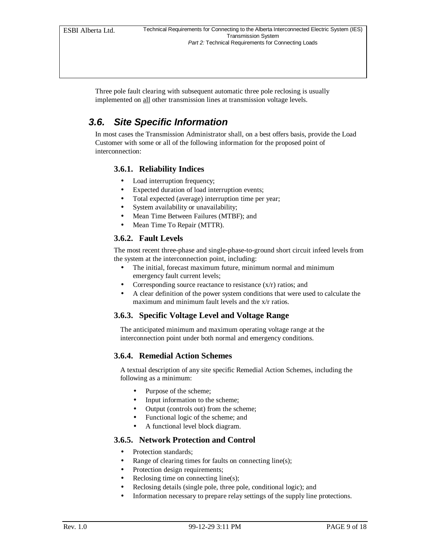Three pole fault clearing with subsequent automatic three pole reclosing is usually implemented on all other transmission lines at transmission voltage levels.

### *3.6. Site Specific Information*

In most cases the Transmission Administrator shall, on a best offers basis, provide the Load Customer with some or all of the following information for the proposed point of interconnection:

#### **3.6.1. Reliability Indices**

- Load interruption frequency;
- Expected duration of load interruption events;
- Total expected (average) interruption time per year;
- System availability or unavailability;
- Mean Time Between Failures (MTBF); and
- Mean Time To Repair (MTTR).

#### **3.6.2. Fault Levels**

The most recent three-phase and single-phase-to-ground short circuit infeed levels from the system at the interconnection point, including:

- The initial, forecast maximum future, minimum normal and minimum emergency fault current levels;
- Corresponding source reactance to resistance  $(x/r)$  ratios; and
- A clear definition of the power system conditions that were used to calculate the maximum and minimum fault levels and the x/r ratios.

#### **3.6.3. Specific Voltage Level and Voltage Range**

The anticipated minimum and maximum operating voltage range at the interconnection point under both normal and emergency conditions.

#### **3.6.4. Remedial Action Schemes**

A textual description of any site specific Remedial Action Schemes, including the following as a minimum:

- Purpose of the scheme;
- Input information to the scheme;
- Output (controls out) from the scheme;
- Functional logic of the scheme; and
- A functional level block diagram.

#### **3.6.5. Network Protection and Control**

- Protection standards;
- Range of clearing times for faults on connecting line(s);
- Protection design requirements;
- Reclosing time on connecting line(s);
- Reclosing details (single pole, three pole, conditional logic); and
- Information necessary to prepare relay settings of the supply line protections.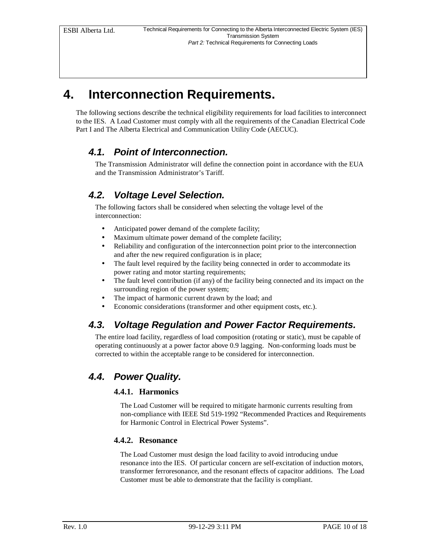## **4. Interconnection Requirements.**

The following sections describe the technical eligibility requirements for load facilities to interconnect to the IES. A Load Customer must comply with all the requirements of the Canadian Electrical Code Part I and The Alberta Electrical and Communication Utility Code (AECUC).

#### *4.1. Point of Interconnection.*

The Transmission Administrator will define the connection point in accordance with the EUA and the Transmission Administrator's Tariff.

## *4.2. Voltage Level Selection.*

The following factors shall be considered when selecting the voltage level of the interconnection:

- Anticipated power demand of the complete facility;
- Maximum ultimate power demand of the complete facility;
- Reliability and configuration of the interconnection point prior to the interconnection and after the new required configuration is in place;
- The fault level required by the facility being connected in order to accommodate its power rating and motor starting requirements;
- The fault level contribution (if any) of the facility being connected and its impact on the surrounding region of the power system;
- The impact of harmonic current drawn by the load; and
- Economic considerations (transformer and other equipment costs, etc.).

### *4.3. Voltage Regulation and Power Factor Requirements.*

The entire load facility, regardless of load composition (rotating or static), must be capable of operating continuously at a power factor above 0.9 lagging. Non-conforming loads must be corrected to within the acceptable range to be considered for interconnection.

### *4.4. Power Quality.*

#### **4.4.1. Harmonics**

The Load Customer will be required to mitigate harmonic currents resulting from non-compliance with IEEE Std 519-1992 "Recommended Practices and Requirements for Harmonic Control in Electrical Power Systems".

#### **4.4.2. Resonance**

The Load Customer must design the load facility to avoid introducing undue resonance into the IES. Of particular concern are self-excitation of induction motors, transformer ferroresonance, and the resonant effects of capacitor additions. The Load Customer must be able to demonstrate that the facility is compliant.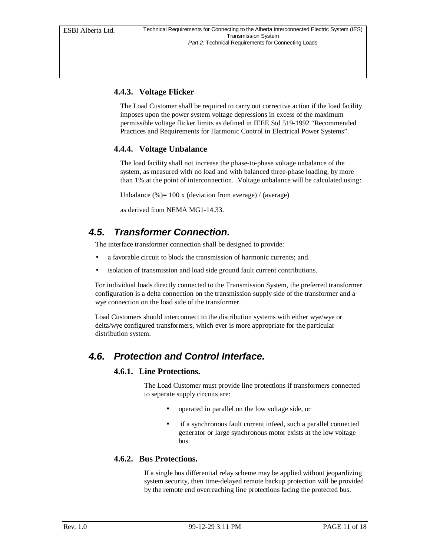#### **4.4.3. Voltage Flicker**

The Load Customer shall be required to carry out corrective action if the load facility imposes upon the power system voltage depressions in excess of the maximum permissible voltage flicker limits as defined in IEEE Std 519-1992 "Recommended Practices and Requirements for Harmonic Control in Electrical Power Systems".

#### **4.4.4. Voltage Unbalance**

The load facility shall not increase the phase-to-phase voltage unbalance of the system, as measured with no load and with balanced three-phase loading, by more than 1% at the point of interconnection. Voltage unbalance will be calculated using:

Unbalance  $% = 100 x$  (deviation from average) / (average)

as derived from NEMA MG1-14.33.

#### *4.5. Transformer Connection.*

The interface transformer connection shall be designed to provide:

- a favorable circuit to block the transmission of harmonic currents; and.
- isolation of transmission and load side ground fault current contributions.

For individual loads directly connected to the Transmission System, the preferred transformer configuration is a delta connection on the transmission supply side of the transformer and a wye connection on the load side of the transformer.

Load Customers should interconnect to the distribution systems with either wye/wye or delta/wye configured transformers, which ever is more appropriate for the particular distribution system.

#### *4.6. Protection and Control Interface.*

#### **4.6.1. Line Protections.**

The Load Customer must provide line protections if transformers connected to separate supply circuits are:

- operated in parallel on the low voltage side, or
- if a synchronous fault current infeed, such a parallel connected generator or large synchronous motor exists at the low voltage bus.

#### **4.6.2. Bus Protections.**

If a single bus differential relay scheme may be applied without jeopardizing system security, then time-delayed remote backup protection will be provided by the remote end overreaching line protections facing the protected bus.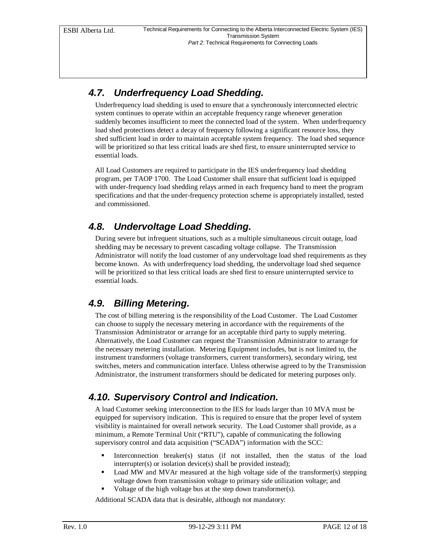### *4.7. Underfrequency Load Shedding.*

Underfrequency load shedding is used to ensure that a synchronously interconnected electric system continues to operate within an acceptable frequency range whenever generation suddenly becomes insufficient to meet the connected load of the system. When underfrequency load shed protections detect a decay of frequency following a significant resource loss, they shed sufficient load in order to maintain acceptable system frequency. The load shed sequence will be prioritized so that less critical loads are shed first, to ensure uninterrupted service to essential loads.

All Load Customers are required to participate in the IES underfrequency load shedding program, per TAOP 1700. The Load Customer shall ensure that sufficient load is equipped with under-frequency load shedding relays armed in each frequency band to meet the program specifications and that the under-frequency protection scheme is appropriately installed, tested and commissioned.

### *4.8. Undervoltage Load Shedding.*

During severe but infrequent situations, such as a multiple simultaneous circuit outage, load shedding may be necessary to prevent cascading voltage collapse. The Transmission Administrator will notify the load customer of any undervoltage load shed requirements as they become known. As with underfrequency load shedding, the undervoltage load shed sequence will be prioritized so that less critical loads are shed first to ensure uninterrupted service to essential loads.

#### *4.9. Billing Metering.*

The cost of billing metering is the responsibility of the Load Customer. The Load Customer can choose to supply the necessary metering in accordance with the requirements of the Transmission Administrator or arrange for an acceptable third party to supply metering. Alternatively, the Load Customer can request the Transmission Administrator to arrange for the necessary metering installation. Metering Equipment includes, but is not limited to, the instrument transformers (voltage transformers, current transformers), secondary wiring, test switches, meters and communication interface. Unless otherwise agreed to by the Transmission Administrator, the instrument transformers should be dedicated for metering purposes only.

## *4.10. Supervisory Control and Indication.*

A load Customer seeking interconnection to the IES for loads larger than 10 MVA must be equipped for supervisory indication. This is required to ensure that the proper level of system visibility is maintained for overall network security. The Load Customer shall provide, as a minimum, a Remote Terminal Unit ("RTU"), capable of communicating the following supervisory control and data acquisition ("SCADA") information with the SCC:

- ß Interconnection breaker(s) status (if not installed, then the status of the load interrupter(s) or isolation device(s) shall be provided instead);
- ß Load MW and MVAr measured at the high voltage side of the transformer(s) stepping voltage down from transmission voltage to primary side utilization voltage; and
- Voltage of the high voltage bus at the step down transformer(s).

Additional SCADA data that is desirable, although not mandatory: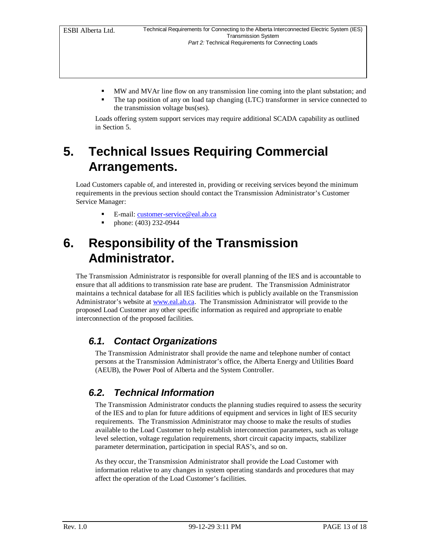- ß MW and MVAr line flow on any transmission line coming into the plant substation; and
- The tap position of any on load tap changing (LTC) transformer in service connected to the transmission voltage bus(ses).

Loads offering system support services may require additional SCADA capability as outlined in Section 5.

# **5. Technical Issues Requiring Commercial Arrangements.**

Load Customers capable of, and interested in, providing or receiving services beyond the minimum requirements in the previous section should contact the Transmission Administrator's Customer Service Manager:

- E-mail: customer-service@eal.ab.ca
- ß phone: (403) 232-0944

## **6. Responsibility of the Transmission Administrator.**

The Transmission Administrator is responsible for overall planning of the IES and is accountable to ensure that all additions to transmission rate base are prudent. The Transmission Administrator maintains a technical database for all IES facilities which is publicly available on the Transmission Administrator's website at www.eal.ab.ca. The Transmission Administrator will provide to the proposed Load Customer any other specific information as required and appropriate to enable interconnection of the proposed facilities.

#### *6.1. Contact Organizations*

The Transmission Administrator shall provide the name and telephone number of contact persons at the Transmission Administrator's office, the Alberta Energy and Utilities Board (AEUB), the Power Pool of Alberta and the System Controller.

### *6.2. Technical Information*

The Transmission Administrator conducts the planning studies required to assess the security of the IES and to plan for future additions of equipment and services in light of IES security requirements. The Transmission Administrator may choose to make the results of studies available to the Load Customer to help establish interconnection parameters, such as voltage level selection, voltage regulation requirements, short circuit capacity impacts, stabilizer parameter determination, participation in special RAS's, and so on.

As they occur, the Transmission Administrator shall provide the Load Customer with information relative to any changes in system operating standards and procedures that may affect the operation of the Load Customer's facilities.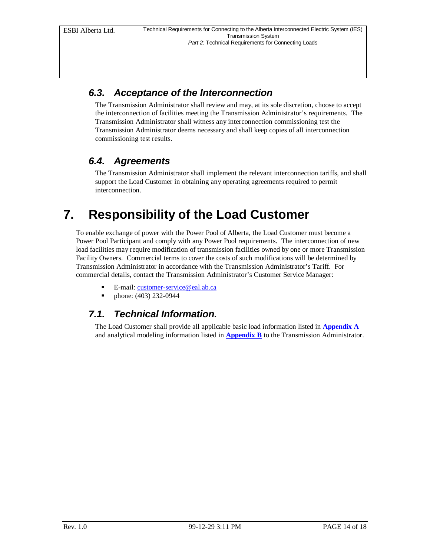### *6.3. Acceptance of the Interconnection*

The Transmission Administrator shall review and may, at its sole discretion, choose to accept the interconnection of facilities meeting the Transmission Administrator's requirements. The Transmission Administrator shall witness any interconnection commissioning test the Transmission Administrator deems necessary and shall keep copies of all interconnection commissioning test results.

### *6.4. Agreements*

The Transmission Administrator shall implement the relevant interconnection tariffs, and shall support the Load Customer in obtaining any operating agreements required to permit interconnection.

# **7. Responsibility of the Load Customer**

To enable exchange of power with the Power Pool of Alberta, the Load Customer must become a Power Pool Participant and comply with any Power Pool requirements. The interconnection of new load facilities may require modification of transmission facilities owned by one or more Transmission Facility Owners. Commercial terms to cover the costs of such modifications will be determined by Transmission Administrator in accordance with the Transmission Administrator's Tariff. For commercial details, contact the Transmission Administrator's Customer Service Manager:

- E-mail: customer-service@eal.ab.ca
- ß phone: (403) 232-0944

#### *7.1. Technical Information.*

The Load Customer shall provide all applicable basic load information listed in **Appendix A** and analytical modeling information listed in **Appendix B** to the Transmission Administrator.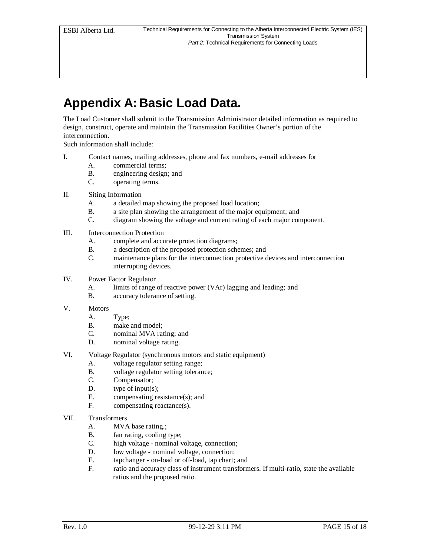# **Appendix A: Basic Load Data.**

The Load Customer shall submit to the Transmission Administrator detailed information as required to design, construct, operate and maintain the Transmission Facilities Owner's portion of the interconnection.

Such information shall include:

- I. Contact names, mailing addresses, phone and fax numbers, e-mail addresses for
	- A. commercial terms;
	- B. engineering design; and
	- C. operating terms.
- II. Siting Information
	- A. a detailed map showing the proposed load location;
	- B. a site plan showing the arrangement of the major equipment; and C. diagram showing the voltage and current rating of each major con
	- diagram showing the voltage and current rating of each major component.
- III. Interconnection Protection
	- A. complete and accurate protection diagrams;
	- B. a description of the proposed protection schemes; and
	- C. maintenance plans for the interconnection protective devices and interconnection interrupting devices.
- IV. Power Factor Regulator
	- A. limits of range of reactive power (VAr) lagging and leading; and
	- B. accuracy tolerance of setting.
- V. Motors
	- A. Type;
	- B. make and model;
	- C. nominal MVA rating; and
	- D. nominal voltage rating.
- VI. Voltage Regulator (synchronous motors and static equipment)
	- A. voltage regulator setting range;
	- B. voltage regulator setting tolerance;
	- C. Compensator;
	- D. type of input(s);
	- E. compensating resistance(s); and<br>F. compensating reactance(s).
	- compensating reactance(s).
- VII. Transformers
	- A. MVA base rating.;
	- B. fan rating, cooling type;
	- C. high voltage nominal voltage, connection;
	- D. low voltage nominal voltage, connection;
	- E. tapchanger on-load or off-load, tap chart; and
	- F. ratio and accuracy class of instrument transformers. If multi-ratio, state the available ratios and the proposed ratio.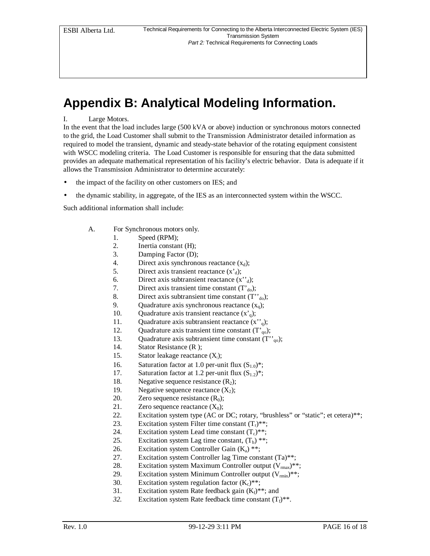# **Appendix B: Analytical Modeling Information.**

#### I. Large Motors.

In the event that the load includes large (500 kVA or above) induction or synchronous motors connected to the grid, the Load Customer shall submit to the Transmission Administrator detailed information as required to model the transient, dynamic and steady-state behavior of the rotating equipment consistent with WSCC modeling criteria. The Load Customer is responsible for ensuring that the data submitted provides an adequate mathematical representation of his facility's electric behavior. Data is adequate if it allows the Transmission Administrator to determine accurately:

- the impact of the facility on other customers on IES; and
- the dynamic stability, in aggregate, of the IES as an interconnected system within the WSCC.

Such additional information shall include:

- A. For Synchronous motors only.
	- 1. Speed (RPM);
	- 2. Inertia constant (H);
	- 3. Damping Factor (D);
	- 4. Direct axis synchronous reactance  $(x_d)$ ;
	- 5. Direct axis transient reactance  $(x<sub>d</sub>)$ ;
	- 6. Direct axis subtransient reactance  $(x^{\prime\prime})$ ;
	- 7. Direct axis transient time constant  $(T<sub>do</sub>)$ ;
	- 8. Direct axis subtransient time constant  $(T''_{d0})$ ;
	- 9. Quadrature axis synchronous reactance  $(x_q)$ ;
	- 10. Quadrature axis transient reactance  $(x'_q)$ ;
	- 11. Quadrature axis subtransient reactance  $(x^{\prime\prime}_{q})$ ;
	- 12. Quadrature axis transient time constant  $(T<sub>q0</sub>)$ ;
	- 13. Quadrature axis subtransient time constant  $(T''_{qo})$ ;
	- 14. Stator Resistance (R );
	- 15. Stator leakage reactance  $(X_i)$ ;
	- 16. Saturation factor at 1.0 per-unit flux  $(S_{1.0})^*$ ;
	- 17. Saturation factor at 1.2 per-unit flux  $(S_{1,2})^*$ ;
	- 18. Negative sequence resistance  $(R_2)$ ;
	- 19. Negative sequence reactance  $(X_2)$ ;
	- 20. Zero sequence resistance  $(R_0)$ ;
	- 21. Zero sequence reactance  $(X_0)$ ;
	- 22. Excitation system type (AC or DC; rotary, "brushless" or "static"; et cetera)\*\*;
	- 23. Excitation system Filter time constant  $(T_r)^{**}$ ;
	- 24. Excitation system Lead time constant  $(T_c)^{**}$ ;
	- 25. Excitation system Lag time constant,  $(T_b)$ <sup>\*\*</sup>;
	- 26. Excitation system Controller Gain  $(K_a)$ <sup>\*\*</sup>;
	- 27. Excitation system Controller lag Time constant (Ta)\*\*;
	- 28. Excitation system Maximum Controller output  $(V_{\text{max}})$ <sup>\*\*</sup>;
	- 29. Excitation system Minimum Controller output  $(V_{min})^{**}$ ;
	- 30. Excitation system regulation factor  $(K_c)**$ ;
	- 31. Excitation system Rate feedback gain  $(K_f)^{**}$ ; and
	- 32. Excitation system Rate feedback time constant  $(T_f)^{**}$ .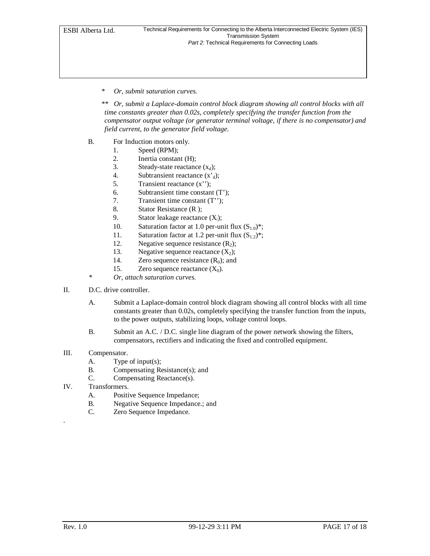#### *\* Or, submit saturation curves.*

*\*\* Or, submit a Laplace-domain control block diagram showing all control blocks with all time constants greater than 0.02s, completely specifying the transfer function from the compensator output voltage (or generator terminal voltage, if there is no compensator) and field current, to the generator field voltage.*

- B. For Induction motors only.
	- 1. Speed (RPM);
	- 2. Inertia constant (H);
	- 3. Steady-state reactance  $(x_d)$ ;
	- 4. Subtransient reactance  $(x_d)$ ;
	- 5. Transient reactance (x'');
	- 6. Subtransient time constant (T');
	- 7. Transient time constant (T'');
	- 8. Stator Resistance (R );
	- 9. Stator leakage reactance (X*<sup>l</sup>* );
	- 10. Saturation factor at 1.0 per-unit flux  $(S_{1,0})^*$ ;
	- 11. Saturation factor at 1.2 per-unit flux  $(S_{1,2})^*$ ;
	- 12. Negative sequence resistance  $(R_2)$ ;
	- 13. Negative sequence reactance  $(X_2)$ ;
	- 14. Zero sequence resistance  $(R_0)$ ; and
	- 15. Zero sequence reactance  $(X_0)$ .
	- *\* Or, attach saturation curves.*
- II. D.C. drive controller.
	- A. Submit a Laplace-domain control block diagram showing all control blocks with all time constants greater than 0.02s, completely specifying the transfer function from the inputs, to the power outputs, stabilizing loops, voltage control loops.
	- B. Submit an A.C. / D.C. single line diagram of the power network showing the filters, compensators, rectifiers and indicating the fixed and controlled equipment.
- III. Compensator.
	- A. Type of input(s);
	- B. Compensating Resistance(s); and
	- C. Compensating Reactance(s).
- IV. Transformers.
	- A. Positive Sequence Impedance;
	- B. Negative Sequence Impedance.; and
	- C. Zero Sequence Impedance.

.